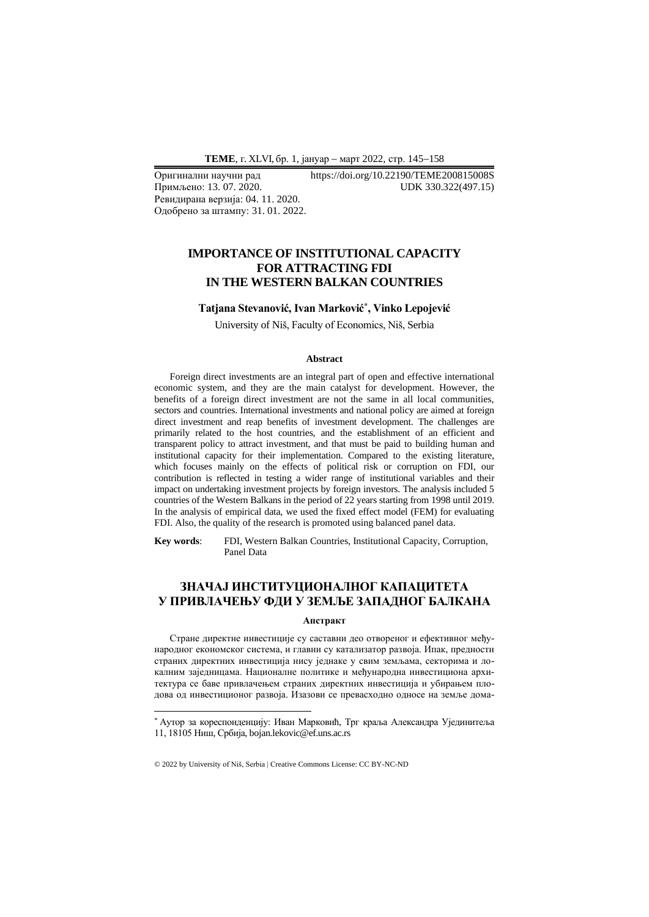Примљено: 13.07.2020. Ревидирана верзија: 04. 11. 2020. Одобрено за штампу: 31. 01. 2022.

Оригинални научни рад https://doi.org/10.22190/TEME200815008S<br>
Примљено: 13. 07. 2020. UDK 330.322(497.15)

# **IMPORTANCE OF INSTITUTIONAL CAPACITY FOR ATTRACTING FDI IN THE WESTERN BALKAN COUNTRIES**

## **Tatjana Stevanović, Ivan Marković\* , Vinko Lepojević**

University of Niš, Faculty of Economics, Niš, Serbia

#### **Abstract**

Foreign direct investments are an integral part of open and effective international economic system, and they are the main catalyst for development. However, the benefits of a foreign direct investment are not the same in all local communities, sectors and countries. International investments and national policy are aimed at foreign direct investment and reap benefits of investment development. The challenges are primarily related to the host countries, and the establishment of an efficient and transparent policy to attract investment, and that must be paid to building human and institutional capacity for their implementation. Compared to the existing literature, which focuses mainly on the effects of political risk or corruption on FDI, our contribution is reflected in testing a wider range of institutional variables and their impact on undertaking investment projects by foreign investors. The analysis included 5 countries of the Western Balkans in the period of 22 years starting from 1998 until 2019. In the analysis of empirical data, we used the fixed effect model (FEM) for evaluating FDI. Also, the quality of the research is promoted using balanced panel data.

**Key words**: FDI, Western Balkan Countries, Institutional Capacity, Corruption, Panel Data

## **ЗНАЧАЈ ИНСТИТУЦИОНАЛНОГ КАПАЦИТЕТА У ПРИВЛАЧЕЊУ ФДИ У ЗЕМЉЕ ЗАПАДНОГ БАЛКАНА**

#### **Апстракт**

Стране директне инвестиције су саставни део отвореног и ефективног међународног економског система, и главни су катализатор развоја. Ипак, предности страних директних инвестиција нису једнаке у свим земљама, секторима и локалним заједницама. Националне политике и међународна инвестициона архитектура се баве привлачењем страних директних инвестиција и убирањем плодова од инвестиционог развоја. Изазови се превасходно односе на земље дома-

<sup>\*</sup> Аутор за кореспонденцију: Иван Марковић, Трг краља Александра Ујединитеља 11, 18105 Ниш, Србија, bojan.lekovic@ef.uns.ac.rs

<sup>© 2022</sup> by University of Niš, Serbia | Creative Commons License: CC BY-NC-ND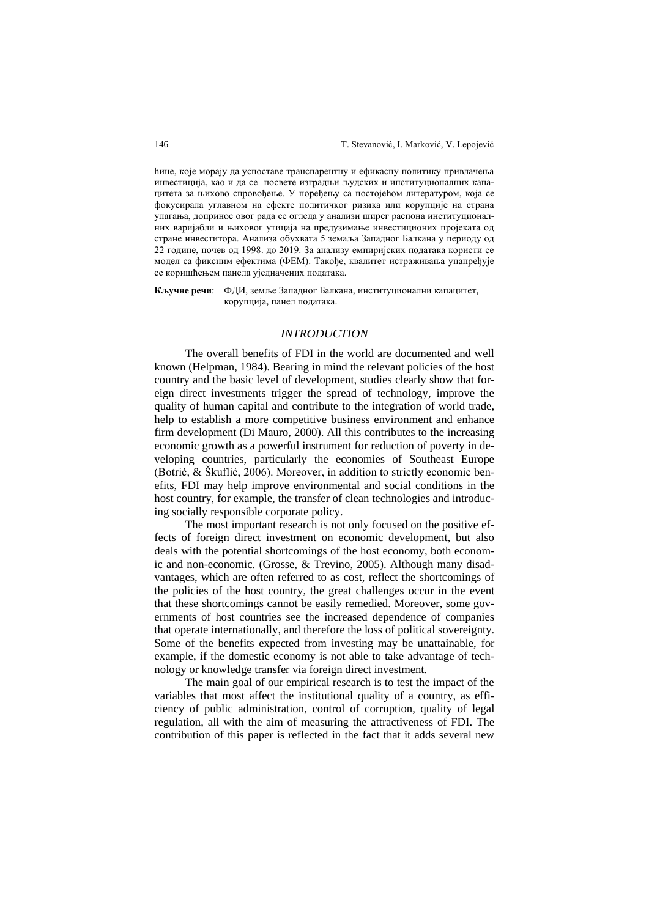ћине, које морају да успоставе транспарентну и ефикасну политику привлачења инвестиција, као и да се посвете изградњи људских и институционалних капацитета за њихово спровођење. У поређењу са постојећом литературом, која се фокусирала углавном на ефекте политичког ризика или корупције на страна улагања, допринос овог рада се огледа у анализи ширег распона институционалних варијабли и њиховог утицаја на предузимање инвестиционих пројеката од стране инвеститора. Анализа обухвата 5 земаља Западног Балкана у периоду од 22 године, почев од 1998. до 2019. За анализу емпиријских података користи се модел са фиксним ефектима (ФЕМ). Такође, квалитет истраживања унапређује се коришћењем панела уједначених података.

**Кључне речи**: ФДИ, земље Западног Балкана, институционални капацитет, корупција, панел података.

#### *INTRODUCTION*

The overall benefits of FDI in the world are documented and well known (Helpman, 1984). Bearing in mind the relevant policies of the host country and the basic level of development, studies clearly show that foreign direct investments trigger the spread of technology, improve the quality of human capital and contribute to the integration of world trade, help to establish a more competitive business environment and enhance firm development (Di Mauro, 2000). All this contributes to the increasing economic growth as a powerful instrument for reduction of poverty in developing countries, particularly the economies of Southeast Europe (Botrić, & Škuflić, 2006). Moreover, in addition to strictly economic benefits, FDI may help improve environmental and social conditions in the host country, for example, the transfer of clean technologies and introducing socially responsible corporate policy.

The most important research is not only focused on the positive effects of foreign direct investment on economic development, but also deals with the potential shortcomings of the host economy, both economic and non-economic. (Grosse, & Trevino, 2005). Although many disadvantages, which are often referred to as cost, reflect the shortcomings of the policies of the host country, the great challenges occur in the event that these shortcomings cannot be easily remedied. Moreover, some governments of host countries see the increased dependence of companies that operate internationally, and therefore the loss of political sovereignty. Some of the benefits expected from investing may be unattainable, for example, if the domestic economy is not able to take advantage of technology or knowledge transfer via foreign direct investment.

The main goal of our empirical research is to test the impact of the variables that most affect the institutional quality of a country, as efficiency of public administration, control of corruption, quality of legal regulation, all with the aim of measuring the attractiveness of FDI. The contribution of this paper is reflected in the fact that it adds several new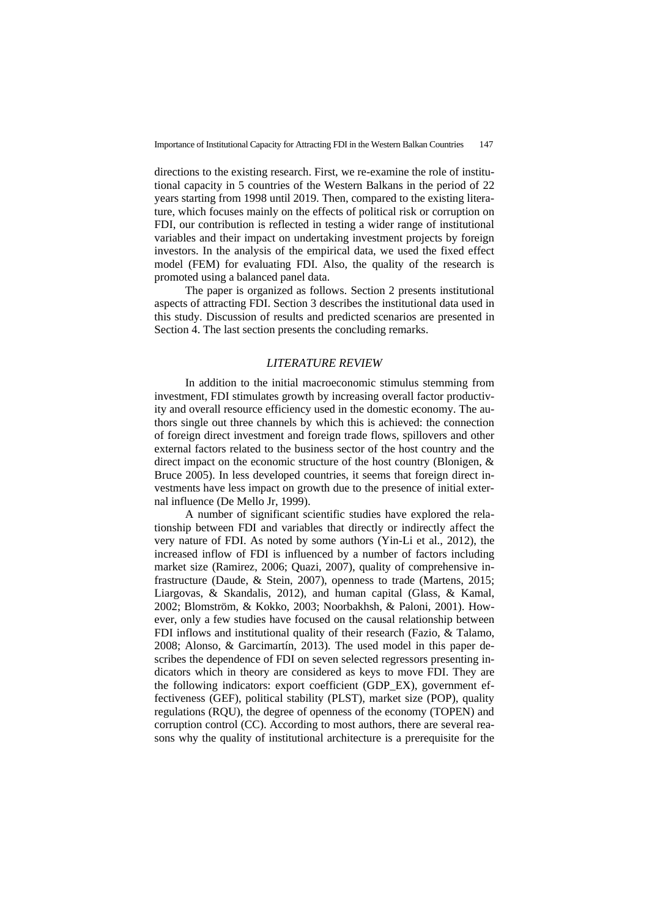directions to the existing research. First, we re-examine the role of institutional capacity in 5 countries of the Western Balkans in the period of 22 years starting from 1998 until 2019. Then, compared to the existing literature, which focuses mainly on the effects of political risk or corruption on FDI, our contribution is reflected in testing a wider range of institutional variables and their impact on undertaking investment projects by foreign investors. In the analysis of the empirical data, we used the fixed effect model (FEM) for evaluating FDI. Also, the quality of the research is promoted using a balanced panel data.

The paper is organized as follows. Section 2 presents institutional aspects of attracting FDI. Section 3 describes the institutional data used in this study. Discussion of results and predicted scenarios are presented in Section 4. The last section presents the concluding remarks.

### *LITERATURE REVIEW*

In addition to the initial macroeconomic stimulus stemming from investment, FDI stimulates growth by increasing overall factor productivity and overall resource efficiency used in the domestic economy. The authors single out three channels by which this is achieved: the connection of foreign direct investment and foreign trade flows, spillovers and other external factors related to the business sector of the host country and the direct impact on the economic structure of the host country (Blonigen, & Bruce 2005). In less developed countries, it seems that foreign direct investments have less impact on growth due to the presence of initial external influence (De Mello Jr, 1999).

A number of significant scientific studies have explored the relationship between FDI and variables that directly or indirectly affect the very nature of FDI. As noted by some authors (Yin-Li et al., 2012), the increased inflow of FDI is influenced by a number of factors including market size (Ramirez, 2006; Quazi, 2007), quality of comprehensive infrastructure (Daude, & Stein, 2007), openness to trade (Martens, 2015; Liargovas, & Skandalis, 2012), and human capital (Glass, & Kamal, 2002; Blomström, & Kokko, 2003; Noorbakhsh, & Paloni, 2001). However, only a few studies have focused on the causal relationship between FDI inflows and institutional quality of their research (Fazio, & Talamo, 2008; Alonso, & Garcimartín, 2013). The used model in this paper describes the dependence of FDI on seven selected regressors presenting indicators which in theory are considered as keys to move FDI. They are the following indicators: export coefficient (GDP\_EX), government effectiveness (GEF), political stability (PLST), market size (POP), quality regulations (RQU), the degree of openness of the economy (TOPEN) and corruption control (CC). According to most authors, there are several reasons why the quality of institutional architecture is a prerequisite for the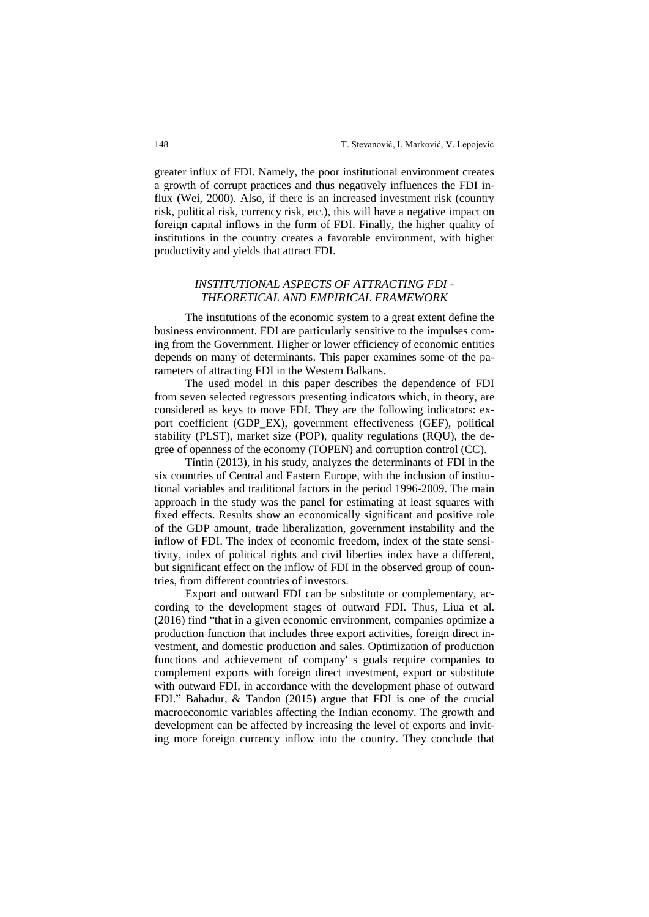greater influx of FDI. Namely, the poor institutional environment creates a growth of corrupt practices and thus negatively influences the FDI influx (Wei, 2000). Also, if there is an increased investment risk (country risk, political risk, currency risk, etc.), this will have a negative impact on foreign capital inflows in the form of FDI. Finally, the higher quality of institutions in the country creates a favorable environment, with higher productivity and yields that attract FDI.

## *INSTITUTIONAL ASPECTS OF ATTRACTING FDI - THEORETICAL AND EMPIRICAL FRAMEWORK*

The institutions of the economic system to a great extent define the business environment. FDI are particularly sensitive to the impulses coming from the Government. Higher or lower efficiency of economic entities depends on many of determinants. This paper examines some of the parameters of attracting FDI in the Western Balkans.

The used model in this paper describes the dependence of FDI from seven selected regressors presenting indicators which, in theory, are considered as keys to move FDI. They are the following indicators: export coefficient (GDP\_EX), government effectiveness (GEF), political stability (PLST), market size (POP), quality regulations (RQU), the degree of openness of the economy (TOPEN) and corruption control (CC).

Tintin (2013), in his study, analyzes the determinants of FDI in the six countries of Central and Eastern Europe, with the inclusion of institutional variables and traditional factors in the period 1996-2009. The main approach in the study was the panel for estimating at least squares with fixed effects. Results show an economically significant and positive role of the GDP amount, trade liberalization, government instability and the inflow of FDI. The index of economic freedom, index of the state sensitivity, index of political rights and civil liberties index have a different, but significant effect on the inflow of FDI in the observed group of countries, from different countries of investors.

Export and outward FDI can be substitute or complementary, according to the development stages of outward FDI. Thus, Liua et al. (2016) find "that in a given economic environment, companies optimize a production function that includes three export activities, foreign direct investment, and domestic production and sales. Optimization of production functions and achievement of company' s goals require companies to complement exports with foreign direct investment, export or substitute with outward FDI, in accordance with the development phase of outward FDI." Bahadur, & Tandon (2015) argue that FDI is one of the crucial macroeconomic variables affecting the Indian economy. The growth and development can be affected by increasing the level of exports and inviting more foreign currency inflow into the country. They conclude that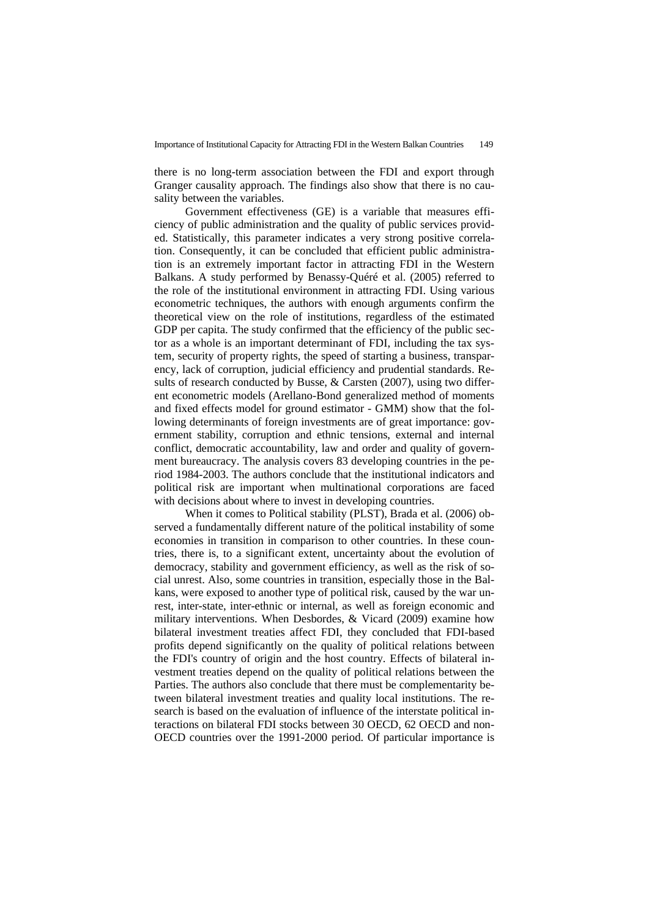there is no long-term association between the FDI and export through Granger causality approach. The findings also show that there is no causality between the variables.

Government effectiveness (GE) is a variable that measures efficiency of public administration and the quality of public services provided. Statistically, this parameter indicates a very strong positive correlation. Consequently, it can be concluded that efficient public administration is an extremely important factor in attracting FDI in the Western Balkans. A study performed by Benassy-Quéré et al. (2005) referred to the role of the institutional environment in attracting FDI. Using various econometric techniques, the authors with enough arguments confirm the theoretical view on the role of institutions, regardless of the estimated GDP per capita. The study confirmed that the efficiency of the public sector as a whole is an important determinant of FDI, including the tax system, security of property rights, the speed of starting a business, transparency, lack of corruption, judicial efficiency and prudential standards. Results of research conducted by Busse, & Carsten (2007), using two different econometric models (Arellano-Bond generalized method of moments and fixed effects model for ground estimator - GMM) show that the following determinants of foreign investments are of great importance: government stability, corruption and ethnic tensions, external and internal conflict, democratic accountability, law and order and quality of government bureaucracy. The analysis covers 83 developing countries in the period 1984-2003. The authors conclude that the institutional indicators and political risk are important when multinational corporations are faced with decisions about where to invest in developing countries.

When it comes to Political stability (PLST), Brada et al. (2006) observed a fundamentally different nature of the political instability of some economies in transition in comparison to other countries. In these countries, there is, to a significant extent, uncertainty about the evolution of democracy, stability and government efficiency, as well as the risk of social unrest. Also, some countries in transition, especially those in the Balkans, were exposed to another type of political risk, caused by the war unrest, inter-state, inter-ethnic or internal, as well as foreign economic and military interventions. When Desbordes, & Vicard (2009) examine how bilateral investment treaties affect FDI, they concluded that FDI-based profits depend significantly on the quality of political relations between the FDI's country of origin and the host country. Effects of bilateral investment treaties depend on the quality of political relations between the Parties. The authors also conclude that there must be complementarity between bilateral investment treaties and quality local institutions. The research is based on the evaluation of influence of the interstate political interactions on bilateral FDI stocks between 30 OECD, 62 OECD and non-OECD countries over the 1991-2000 period. Of particular importance is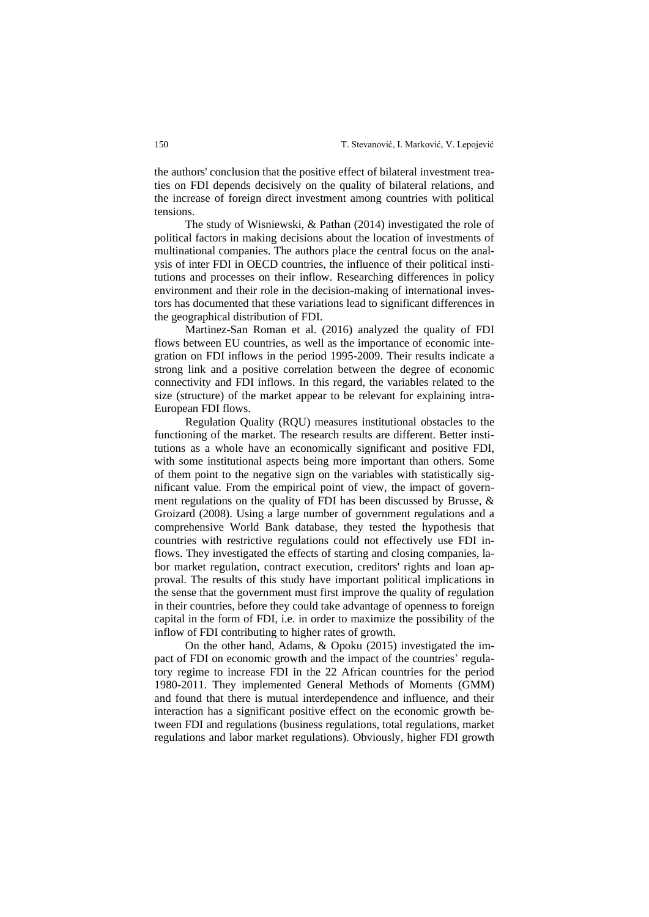the authors' conclusion that the positive effect of bilateral investment treaties on FDI depends decisively on the quality of bilateral relations, and the increase of foreign direct investment among countries with political tensions.

The study of Wisniewski, & Pathan (2014) investigated the role of political factors in making decisions about the location of investments of multinational companies. The authors place the central focus on the analysis of inter FDI in OECD countries, the influence of their political institutions and processes on their inflow. Researching differences in policy environment and their role in the decision-making of international investors has documented that these variations lead to significant differences in the geographical distribution of FDI.

Martinez-San Roman et al. (2016) analyzed the quality of FDI flows between EU countries, as well as the importance of economic integration on FDI inflows in the period 1995-2009. Their results indicate a strong link and a positive correlation between the degree of economic connectivity and FDI inflows. In this regard, the variables related to the size (structure) of the market appear to be relevant for explaining intra-European FDI flows.

Regulation Quality (RQU) measures institutional obstacles to the functioning of the market. The research results are different. Better institutions as a whole have an economically significant and positive FDI, with some institutional aspects being more important than others. Some of them point to the negative sign on the variables with statistically significant value. From the empirical point of view, the impact of government regulations on the quality of FDI has been discussed by Brusse, & Groizard (2008). Using a large number of government regulations and a comprehensive World Bank database, they tested the hypothesis that countries with restrictive regulations could not effectively use FDI inflows. They investigated the effects of starting and closing companies, labor market regulation, contract execution, creditors' rights and loan approval. The results of this study have important political implications in the sense that the government must first improve the quality of regulation in their countries, before they could take advantage of openness to foreign capital in the form of FDI, i.e. in order to maximize the possibility of the inflow of FDI contributing to higher rates of growth.

On the other hand, Adams, & Opoku (2015) investigated the impact of FDI on economic growth and the impact of the countries' regulatory regime to increase FDI in the 22 African countries for the period 1980-2011. They implemented General Methods of Moments (GMM) and found that there is mutual interdependence and influence, and their interaction has a significant positive effect on the economic growth between FDI and regulations (business regulations, total regulations, market regulations and labor market regulations). Obviously, higher FDI growth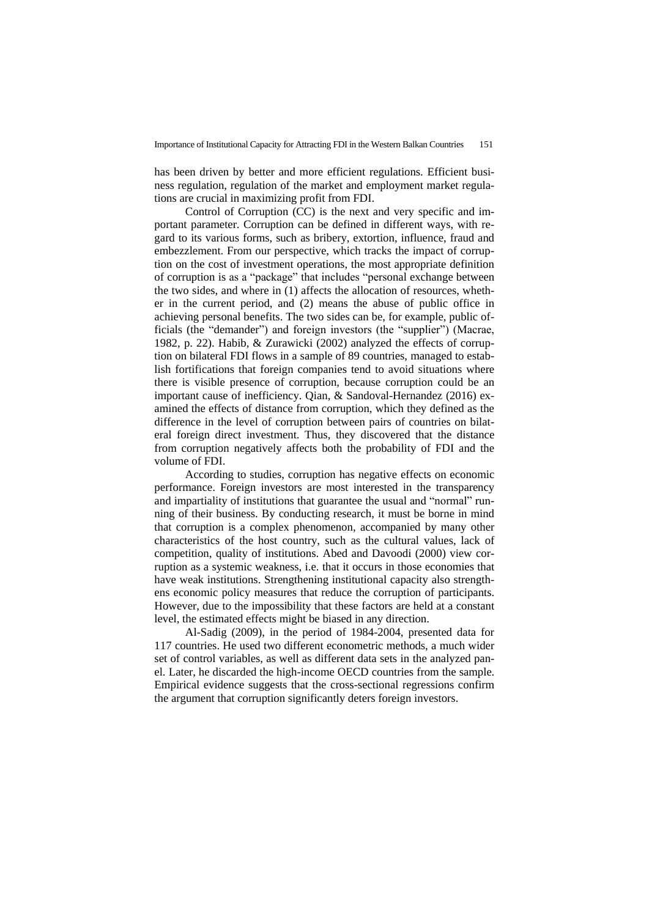has been driven by better and more efficient regulations. Efficient business regulation, regulation of the market and employment market regulations are crucial in maximizing profit from FDI.

Control of Corruption (CC) is the next and very specific and important parameter. Corruption can be defined in different ways, with regard to its various forms, such as bribery, extortion, influence, fraud and embezzlement. From our perspective, which tracks the impact of corruption on the cost of investment operations, the most appropriate definition of corruption is as a "package" that includes "personal exchange between the two sides, and where in (1) affects the allocation of resources, whether in the current period, and (2) means the abuse of public office in achieving personal benefits. The two sides can be, for example, public officials (the "demander") and foreign investors (the "supplier") (Macrae, 1982, p. 22). Habib, & Zurawicki (2002) analyzed the effects of corruption on bilateral FDI flows in a sample of 89 countries, managed to establish fortifications that foreign companies tend to avoid situations where there is visible presence of corruption, because corruption could be an important cause of inefficiency. Qian, & Sandoval-Hernandez (2016) examined the effects of distance from corruption, which they defined as the difference in the level of corruption between pairs of countries on bilateral foreign direct investment. Thus, they discovered that the distance from corruption negatively affects both the probability of FDI and the volume of FDI.

According to studies, corruption has negative effects on economic performance. Foreign investors are most interested in the transparency and impartiality of institutions that guarantee the usual and "normal" running of their business. By conducting research, it must be borne in mind that corruption is a complex phenomenon, accompanied by many other characteristics of the host country, such as the cultural values, lack of competition, quality of institutions. Abed and Davoodi (2000) view corruption as a systemic weakness, i.e. that it occurs in those economies that have weak institutions. Strengthening institutional capacity also strengthens economic policy measures that reduce the corruption of participants. However, due to the impossibility that these factors are held at a constant level, the estimated effects might be biased in any direction.

Al-Sadig (2009), in the period of 1984-2004, presented data for 117 countries. He used two different econometric methods, a much wider set of control variables, as well as different data sets in the analyzed panel. Later, he discarded the high-income OECD countries from the sample. Empirical evidence suggests that the cross-sectional regressions confirm the argument that corruption significantly deters foreign investors.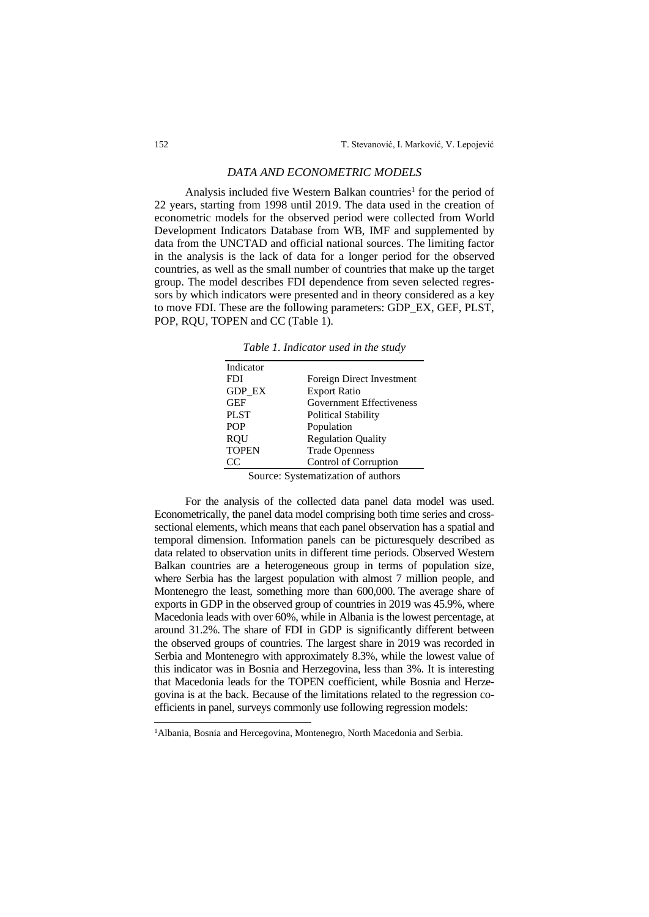## *DATA AND ECONOMETRIC MODELS*

Analysis included five Western Balkan countries<sup>1</sup> for the period of 22 years, starting from 1998 until 2019. The data used in the creation of econometric models for the observed period were collected from World Development Indicators Database from WB, IMF and supplemented by data from the UNCTAD and official national sources. The limiting factor in the analysis is the lack of data for a longer period for the observed countries, as well as the small number of countries that make up the target group. The model describes FDI dependence from seven selected regressors by which indicators were presented and in theory considered as a key to move FDI. These are the following parameters: GDP\_EX, GEF, PLST, POP, RQU, TOPEN and CC (Table 1).

| Indicator     |                                 |
|---------------|---------------------------------|
| <b>FDI</b>    | Foreign Direct Investment       |
| <b>GDP EX</b> | <b>Export Ratio</b>             |
| <b>GEF</b>    | <b>Government Effectiveness</b> |
| <b>PLST</b>   | <b>Political Stability</b>      |
| POP           | Population                      |
| <b>RQU</b>    | <b>Regulation Quality</b>       |
| <b>TOPEN</b>  | <b>Trade Openness</b>           |
| CC            | Control of Corruption           |
|               |                                 |

*Table 1. Indicator used in the study*

Source: Systematization of authors

For the analysis of the collected data panel data model was used. Econometrically, the panel data model comprising both time series and crosssectional elements, which means that each panel observation has a spatial and temporal dimension. Information panels can be picturesquely described as data related to observation units in different time periods. Observed Western Balkan countries are a heterogeneous group in terms of population size, where Serbia has the largest population with almost 7 million people, and Montenegro the least, something more than 600,000. The average share of exports in GDP in the observed group of countries in 2019 was 45.9%, where Macedonia leads with over 60%, while in Albania is the lowest percentage, at around 31.2%. The share of FDI in GDP is significantly different between the observed groups of countries. The largest share in 2019 was recorded in Serbia and Montenegro with approximately 8.3%, while the lowest value of this indicator was in Bosnia and Herzegovina, less than 3%. It is interesting that Macedonia leads for the TOPEN coefficient, while Bosnia and Herzegovina is at the back. Because of the limitations related to the regression coefficients in panel, surveys commonly use following regression models:

<sup>&</sup>lt;sup>1</sup>Albania, Bosnia and Hercegovina, Montenegro, North Macedonia and Serbia.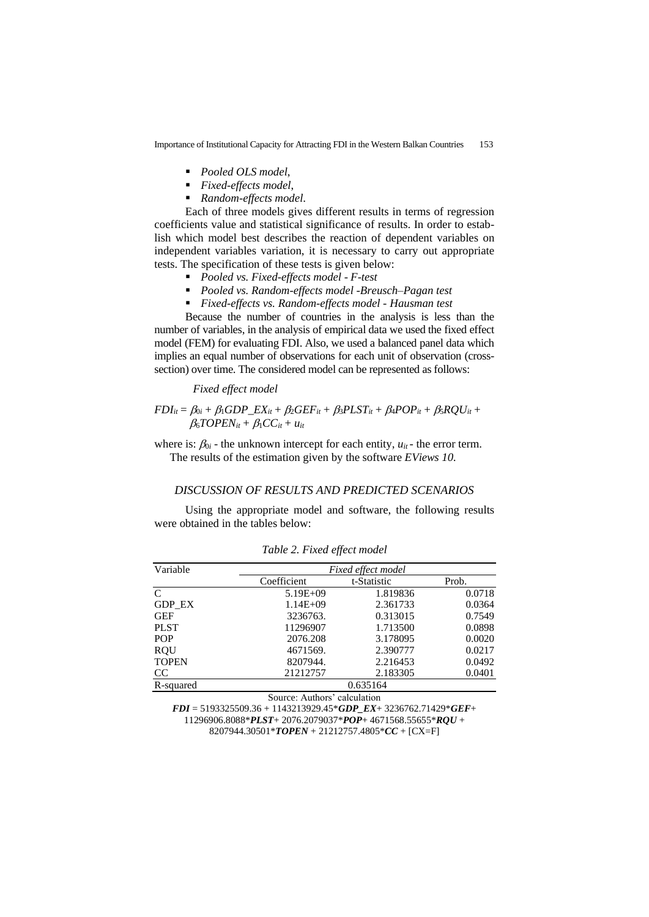Importance of Institutional Capacity for Attracting FDI in the Western Balkan Countries 153

- *Pooled OLS model*,<br>■ Fixed effects model
- *Fixed-effects model*,
- *Random-effects model*.

Each of three models gives different results in terms of regression coefficients value and statistical significance of results. In order to establish which model best describes the reaction of dependent variables on independent variables variation, it is necessary to carry out appropriate tests. The specification of these tests is given below:

- *Pooled vs. Fixed-effects model - F-test*
- *Pooled vs. Random-effects model -Breusch–Pagan test*
- *Fixed-effects vs. Random-effects model - Hausman test*

Because the number of countries in the analysis is less than the number of variables, in the analysis of empirical data we used the fixed effect model (FEM) for evaluating FDI. Also, we used a balanced panel data which implies an equal number of observations for each unit of observation (crosssection) over time. The considered model can be represented as follows:

### *Fixed effect model*

 $FDI_{it} = \beta_{0i} + \beta_1 GDP\_EX_{it} + \beta_2 GEF_{it} + \beta_3 PLST_{it} + \beta_4 POP_{it} + \beta_5 RQU_{it} +$  $\beta_6TOPEN_{it} + \beta_1 CC_{it} + u_{it}$ 

where is:  $\beta_{0i}$  - the unknown intercept for each entity,  $u_{it}$  - the error term. The results of the estimation given by the software *EViews 10.*

### *DISCUSSION OF RESULTS AND PREDICTED SCENARIOS*

Using the appropriate model and software, the following results were obtained in the tables below:

| Variable      |              | Fixed effect model |        |  |
|---------------|--------------|--------------------|--------|--|
|               | Coefficient  | t-Statistic        | Prob.  |  |
| C             | $5.19E + 09$ | 1.819836           | 0.0718 |  |
| <b>GDP EX</b> | $1.14E + 09$ | 2.361733           | 0.0364 |  |
| <b>GEF</b>    | 3236763.     | 0.313015           | 0.7549 |  |
| <b>PLST</b>   | 11296907     | 1.713500           | 0.0898 |  |
| <b>POP</b>    | 2076.208     | 3.178095           | 0.0020 |  |
| <b>ROU</b>    | 4671569.     | 2.390777           | 0.0217 |  |
| <b>TOPEN</b>  | 8207944.     | 2.216453           | 0.0492 |  |
| CC            | 21212757     | 2.183305           | 0.0401 |  |
| R-squared     | 0.635164     |                    |        |  |

*Table 2. Fixed effect model*

Source: Authors' calculation

*FDI* = 5193325509.36 + 1143213929.45\**GDP\_EX*+ 3236762.71429\**GEF*+ 11296906.8088\**PLST*+ 2076.2079037\**POP*+ 4671568.55655\**RQU* + 8207944.30501\**TOPEN* + 21212757.4805\**CC* + [CX=F]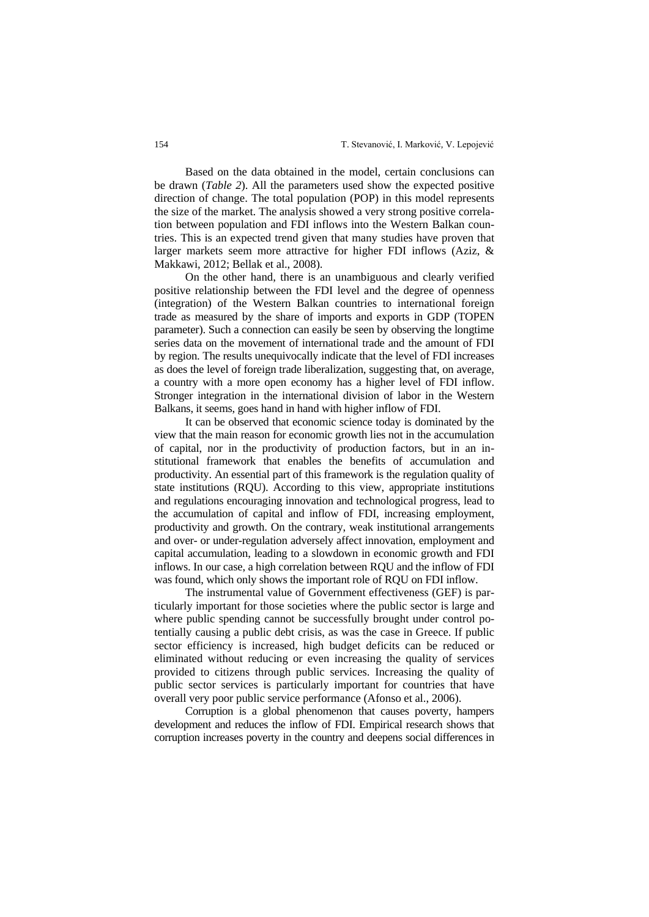Based on the data obtained in the model, certain conclusions can be drawn (*Table 2*). All the parameters used show the expected positive direction of change. The total population (POP) in this model represents the size of the market. The analysis showed a very strong positive correlation between population and FDI inflows into the Western Balkan countries. This is an expected trend given that many studies have proven that larger markets seem more attractive for higher FDI inflows (Aziz, & Makkawi, 2012; Bellak et al., 2008).

On the other hand, there is an unambiguous and clearly verified positive relationship between the FDI level and the degree of openness (integration) of the Western Balkan countries to international foreign trade as measured by the share of imports and exports in GDP (TOPEN parameter). Such a connection can easily be seen by observing the longtime series data on the movement of international trade and the amount of FDI by region. The results unequivocally indicate that the level of FDI increases as does the level of foreign trade liberalization, suggesting that, on average, a country with a more open economy has a higher level of FDI inflow. Stronger integration in the international division of labor in the Western Balkans, it seems, goes hand in hand with higher inflow of FDI.

It can be observed that economic science today is dominated by the view that the main reason for economic growth lies not in the accumulation of capital, nor in the productivity of production factors, but in an institutional framework that enables the benefits of accumulation and productivity. An essential part of this framework is the regulation quality of state institutions (RQU). According to this view, appropriate institutions and regulations encouraging innovation and technological progress, lead to the accumulation of capital and inflow of FDI, increasing employment, productivity and growth. On the contrary, weak institutional arrangements and over- or under-regulation adversely affect innovation, employment and capital accumulation, leading to a slowdown in economic growth and FDI inflows. In our case, a high correlation between RQU and the inflow of FDI was found, which only shows the important role of RQU on FDI inflow.

The instrumental value of Government effectiveness (GEF) is particularly important for those societies where the public sector is large and where public spending cannot be successfully brought under control potentially causing a public debt crisis, as was the case in Greece. If public sector efficiency is increased, high budget deficits can be reduced or eliminated without reducing or even increasing the quality of services provided to citizens through public services. Increasing the quality of public sector services is particularly important for countries that have overall very poor public service performance (Afonso et al., 2006).

Corruption is a global phenomenon that causes poverty, hampers development and reduces the inflow of FDI. Empirical research shows that corruption increases poverty in the country and deepens social differences in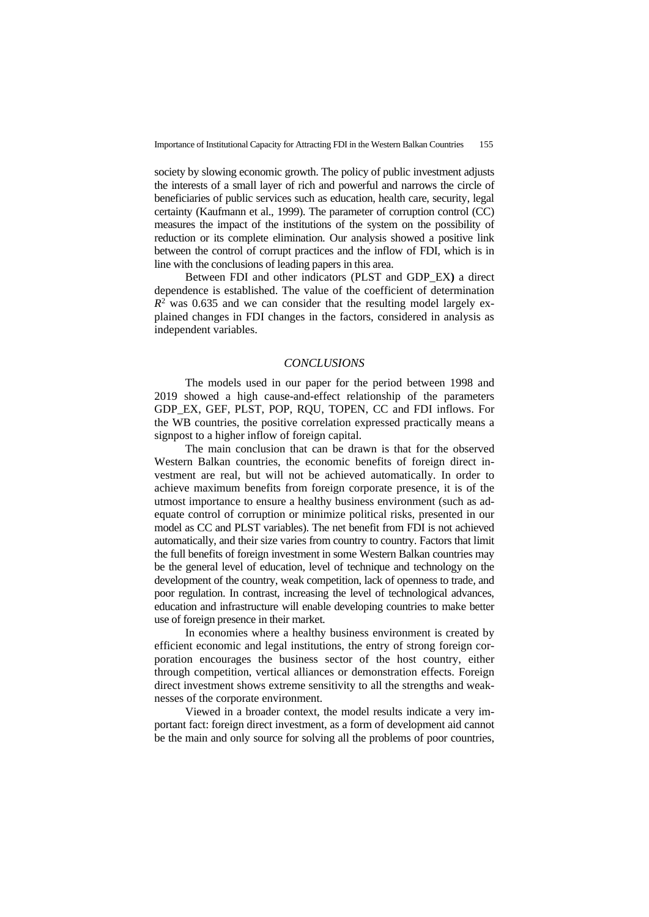society by slowing economic growth. The policy of public investment adjusts the interests of a small layer of rich and powerful and narrows the circle of beneficiaries of public services such as education, health care, security, legal certainty (Kaufmann et al., 1999). The parameter of corruption control (CC) measures the impact of the institutions of the system on the possibility of reduction or its complete elimination. Our analysis showed a positive link between the control of corrupt practices and the inflow of FDI, which is in line with the conclusions of leading papers in this area.

Between FDI and other indicators (PLST and GDP\_EX**)** a direct dependence is established. The value of the coefficient of determination  $R<sup>2</sup>$  was 0.635 and we can consider that the resulting model largely explained changes in FDI changes in the factors, considered in analysis as independent variables.

#### *CONCLUSIONS*

The models used in our paper for the period between 1998 and 2019 showed a high cause-and-effect relationship of the parameters GDP\_EX, GEF, PLST, POP, RQU, TOPEN, CC and FDI inflows. For the WB countries, the positive correlation expressed practically means a signpost to a higher inflow of foreign capital.

The main conclusion that can be drawn is that for the observed Western Balkan countries, the economic benefits of foreign direct investment are real, but will not be achieved automatically. In order to achieve maximum benefits from foreign corporate presence, it is of the utmost importance to ensure a healthy business environment (such as adequate control of corruption or minimize political risks, presented in our model as CC and PLST variables). The net benefit from FDI is not achieved automatically, and their size varies from country to country. Factors that limit the full benefits of foreign investment in some Western Balkan countries may be the general level of education, level of technique and technology on the development of the country, weak competition, lack of openness to trade, and poor regulation. In contrast, increasing the level of technological advances, education and infrastructure will enable developing countries to make better use of foreign presence in their market.

In economies where a healthy business environment is created by efficient economic and legal institutions, the entry of strong foreign corporation encourages the business sector of the host country, either through competition, vertical alliances or demonstration effects. Foreign direct investment shows extreme sensitivity to all the strengths and weaknesses of the corporate environment.

Viewed in a broader context, the model results indicate a very important fact: foreign direct investment, as a form of development aid cannot be the main and only source for solving all the problems of poor countries,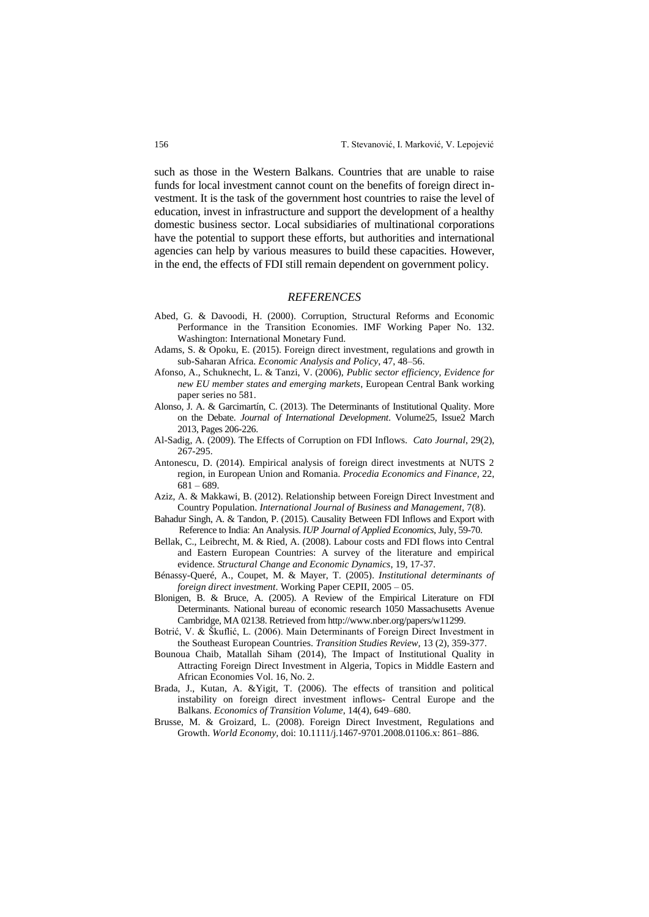such as those in the Western Balkans. Countries that are unable to raise funds for local investment cannot count on the benefits of foreign direct investment. It is the task of the government host countries to raise the level of education, invest in infrastructure and support the development of a healthy domestic business sector. Local subsidiaries of multinational corporations have the potential to support these efforts, but authorities and international agencies can help by various measures to build these capacities. However, in the end, the effects of FDI still remain dependent on government policy.

#### *REFERENCES*

- Abed, G. & Davoodi, H. (2000). Corruption, Structural Reforms and Economic Performance in the Transition Economies. IMF Working Paper No. 132. Washington: International Monetary Fund.
- Adams, S. & Opoku, E. (2015). Foreign direct investment, regulations and growth in sub-Saharan Africa. *Economic Analysis and Policy*, 47, 48–56.
- Afonso, A., Schuknecht, L. & Tanzi, V. (2006), *Public sector efficiency, Evidence for new EU member states and emerging markets*, European Central Bank working paper series no 581.
- Alonso, J. A. & Garcimartín, C. (2013). The Determinants of Institutional Quality. More on the Debate. *Journal of International Development*. Volume25, Issue2 March 2013, Pages 206-226.
- Al-Sadig, A. (2009). The Effects of Corruption on FDI Inflows. *Cato Journal*, 29(2), 267-295.
- Antonescu, D. (2014). Empirical analysis of foreign direct investments at NUTS 2 region, in European Union and Romania. *Procedia Economics and Finance,* 22, 681 – 689.
- Aziz, A. & Makkawi, B. (2012). Relationship between Foreign Direct Investment and Country Population. *International Journal of Business and Management,* 7(8).
- Bahadur Singh, A. & Tandon, P. (2015). Causality Between FDI Inflows and Export with Reference to India: An Analysis. *IUP Journal of Applied Economics*, July, 59-70.
- Bellak, C., Leibrecht, M. & Ried, A. (2008). Labour costs and FDI flows into Central and Eastern European Countries: A survey of the literature and empirical evidence. *Structural Change and Economic Dynamics*, 19, 17-37.
- Bénassy-Queré, A., Coupet, M. & Mayer, T. (2005). *Institutional determinants of foreign direct investment*. Working Paper CEPII, 2005 – 05.
- Blonigen, B. & Bruce, A. (2005). A Review of the Empirical Literature on FDI Determinants. National bureau of economic research 1050 Massachusetts Avenue Cambridge, MA 02138. Retrieved from http://www.nber.org/papers/w11299.
- Botrić, V. & Škuflić, L. (2006). Main Determinants of Foreign Direct Investment in the Southeast European Countries. *Transition Studies Review,* 13 (2), 359-377.
- Bounoua Chaib, Matallah Siham (2014), The Impact of Institutional Quality in Attracting Foreign Direct Investment in Algeria, Topics in Middle Eastern and African Economies Vol. 16, No. 2.
- Brada, J., Kutan, A. &Yigit, T. (2006). The effects of transition and political instability on foreign direct investment inflows- Central Europe and the Balkans. *Economics of Transition Volume*, 14(4), 649–680.
- Brusse, M. & Groizard, L. (2008). Foreign Direct Investment, Regulations and Growth. *World Economy,* doi: 10.1111/j.1467-9701.2008.01106.x: 861–886.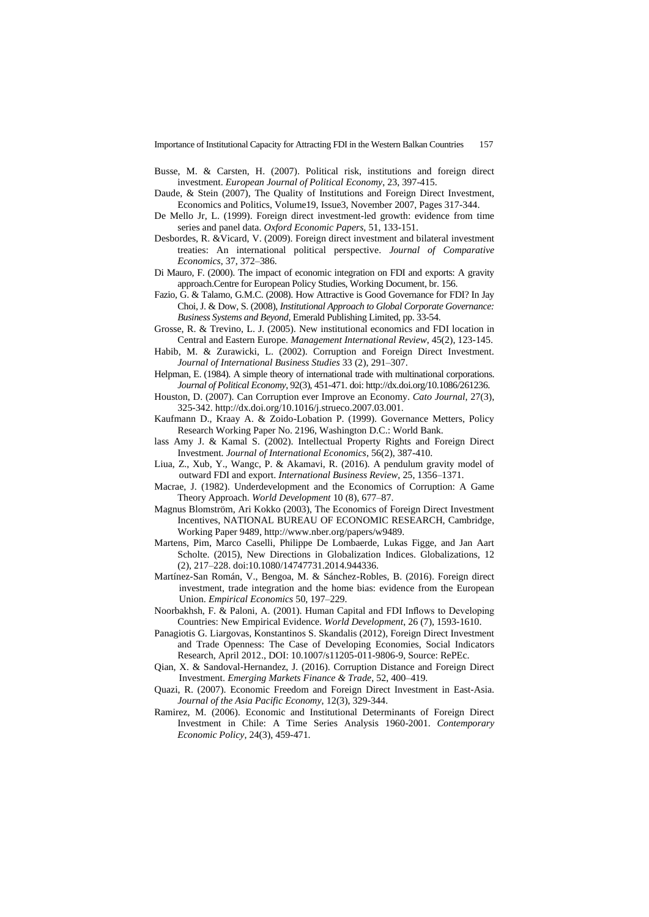Importance of Institutional Capacity for Attracting FDI in the Western Balkan Countries 157

- Busse, M. & Carsten, H. (2007). Political risk, institutions and foreign direct investment. *European Journal of Political Economy*, 23, 397-415.
- Daude, & Stein (2007), The Quality of Institutions and Foreign Direct Investment, Economics and Politics, Volume19, Issue3, November 2007, Pages 317-344.
- De Mello Jr, L. (1999). Foreign direct investment-led growth: evidence from time series and panel data. *Oxford Economic Papers,* 51, 133-151.
- Desbordes, R. &Vicard, V. (2009). Foreign direct investment and bilateral investment treaties: An international political perspective. *Journal of Comparative Economics*, 37, 372–386.
- Di Mauro, F. (2000). The impact of economic integration on FDI and exports: A gravity approach.Centre for European Policy Studies, Working Document, br. 156.
- Fazio, G. & Talamo, G.M.C. (2008). How Attractive is Good Governance for FDI? In Jay Choi, J. & Dow, S. (2008), *Institutional Approach to Global Corporate Governance: Business Systems and Beyond*, Emerald Publishing Limited, pp. 33-54.
- Grosse, R. & Trevino, L. J. (2005). New institutional economics and FDI location in Central and Eastern Europe. *Management International Review*, 45(2), 123-145.
- Habib, M. & Zurawicki, L. (2002). Corruption and Foreign Direct Investment. *Journal of International Business Studies* 33 (2), 291–307.
- Helpman, E. (1984). A simple theory of international trade with multinational corporations. *Journal of Political Economy*, 92(3), 451-471. doi: http://dx.doi.org/10.1086/261236.
- Houston, D. (2007). Can Corruption ever Improve an Economy. *Cato Journal*, 27(3), 325-342. http://dx.doi.org/10.1016/j.strueco.2007.03.001.
- Kaufmann D., Kraay A. & Zoido-Lobation P. (1999). Governance Metters, Policy Research Working Paper No. 2196, Washington D.C.: World Bank.
- lass Amy J. & Kamal S. (2002). Intellectual Property Rights and Foreign Direct Investment. *Journal of International Economics*, 56(2), 387-410.
- Liua, Z., Xub, Y., Wangc, P. & Akamavi, R. (2016). A pendulum gravity model of outward FDI and export. *International Business Review*, 25, 1356–1371.
- Macrae, J. (1982). Underdevelopment and the Economics of Corruption: A Game Theory Approach. *World Development* 10 (8), 677–87.
- Magnus Blomström, Ari Kokko (2003), The Economics of Foreign Direct Investment Incentives, NATIONAL BUREAU OF ECONOMIC RESEARCH, Cambridge, Working Paper 9489[, http://www.nber.org/papers/w9489.](http://www.nber.org/papers/w9489)
- Martens, Pim, Marco Caselli, Philippe De Lombaerde, Lukas Figge, and Jan Aart Scholte. (2015), New Directions in Globalization Indices. Globalizations, 12 (2), 217–228. doi:10.1080/14747731.2014.944336.
- Martínez-San Román, V., Bengoa, M. & Sánchez-Robles, B. (2016). Foreign direct investment, trade integration and the home bias: evidence from the European Union. *Empirical Economics* 50, 197–229.
- Noorbakhsh, F. & Paloni, A. (2001). Human Capital and FDI Inflows to Developing Countries: New Empirical Evidence. *World Development*, 26 (7), 1593-1610.
- Panagiotis G. Liargovas, Konstantinos S. Skandalis (2012), Foreign Direct Investment and Trade Openness: The Case of Developing Economies, Social Indicators Research, April 2012., DOI: 10.1007/s11205-011-9806-9, Source: RePEc.
- Qian, X. & Sandoval-Hernandez, J. (2016). Corruption Distance and Foreign Direct Investment. *Emerging Markets Finance & Trade*, 52, 400–419.
- Quazi, R. (2007). Economic Freedom and Foreign Direct Investment in East-Asia. *Journal of the Asia Pacific Economy*, 12(3), 329-344.
- Ramirez, M. (2006). Economic and Institutional Determinants of Foreign Direct Investment in Chile: A Time Series Analysis 1960-2001. *Contemporary Economic Policy*, 24(3), 459-471.